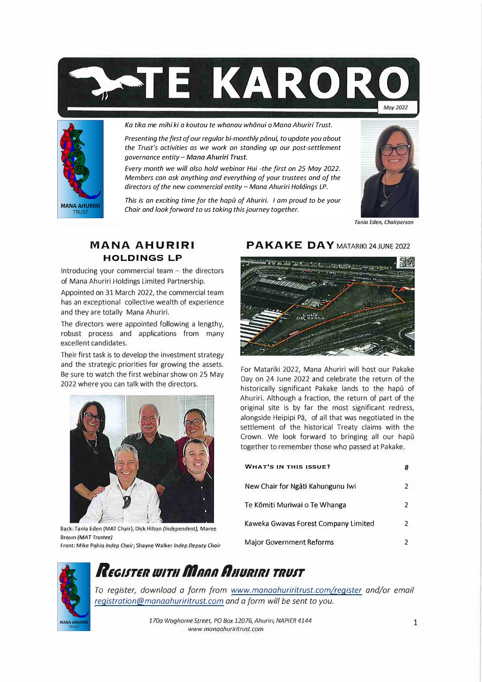



Ka tika me mihi ki a koutou te whanau whānui o Mana Ahuriri Trust.

*Presenting the first of our regular bi-monthly piinui, to update you about the Trust's activities as we work on standing up our post-settlement governance entity- Mana Ahuriri Trust.* 

*Every month we will also hold webinar Hui -the first on 25 May 2022. Members can ask anything and everything of your trustees and of the directors of the new commercial entity- Mana Ahuriri Holdings LP.* 

*This is an exciting time for the hapū of Ahuriri. I am proud to be your Chair and look forward to us taking this journey together.* 



Tania Eden, Chairperson

#### MANA AHURIRI **HOLDINGS LP**

Introducing your commercial team  $-$  the directors of Mana Ahuriri Holdings Limited Partnership.

Appointed on 31 March 2022, the commercial team has an exceptional collective wealth of experience and they are totally Mana Ahuriri.

The directors were appointed following a lengthy, robust process and applications from many excellent candidates.

Their first task is to develop the investment strategy and the strategic priorities for growing the assets. Be sure to watch the first webinar show on 25 May 2022 where you can talk with the directors.



Back: Tania Eden (MAT Chair), Dick Hilton *(Independent),* Maree Brown *(MAT Trustee)* 

Front: Mike Pohlo *lndep Chair;* Shayne Walker *lndep Deputy Chair* 

## PAKAKE DAY MATARIKI 24 JUNE 2022



For Matariki 2022, Mana Ahuriri will host our Pakake Day on 24 June 2022 and celebrate the return of the historically significant Pakake lands to the hapū of Ahuriri. Although a fraction, the return of part of the original site is by far the most significant redress, alongside Heipipi Pā, of all that was negotiated in the settlement of the historical Treaty claims with the Crown. We look forward to bringing all our hapū together to remember those who passed at Pakake.

| <b>WHAT'S IN THIS ISSUE?</b>         | # |
|--------------------------------------|---|
| New Chair for Ngāti Kahungunu Iwi    | 2 |
| Te Kōmiti Muriwai o Te Whanga        | 2 |
| Kaweka Gwavas Forest Company Limited | 2 |
| <b>Major Government Reforms</b>      |   |



# *RtGIJTIR IQ/Tl/ mnnn n,,un,n, TRUIT*

*To register, download a form from www.manaahuriritrust.com/reqister and/or email reqistration@manaahuriritrust.com and a form will be sent to you.*